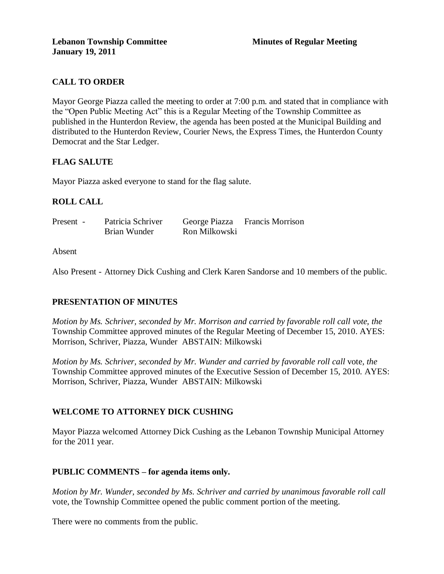# **CALL TO ORDER**

Mayor George Piazza called the meeting to order at 7:00 p.m. and stated that in compliance with the "Open Public Meeting Act" this is a Regular Meeting of the Township Committee as published in the Hunterdon Review, the agenda has been posted at the Municipal Building and distributed to the Hunterdon Review, Courier News, the Express Times, the Hunterdon County Democrat and the Star Ledger.

# **FLAG SALUTE**

Mayor Piazza asked everyone to stand for the flag salute.

# **ROLL CALL**

| Present - | Patricia Schriver |               | George Piazza Francis Morrison |
|-----------|-------------------|---------------|--------------------------------|
|           | Brian Wunder      | Ron Milkowski |                                |

Absent

Also Present - Attorney Dick Cushing and Clerk Karen Sandorse and 10 members of the public.

#### **PRESENTATION OF MINUTES**

*Motion by Ms. Schriver, seconded by Mr. Morrison and carried by favorable roll call vote, the* Township Committee approved minutes of the Regular Meeting of December 15, 2010. AYES: Morrison, Schriver, Piazza, Wunder ABSTAIN: Milkowski

*Motion by Ms. Schriver, seconded by Mr. Wunder and carried by favorable roll call* vote*, the* Township Committee approved minutes of the Executive Session of December 15, 2010. AYES: Morrison, Schriver, Piazza, Wunder ABSTAIN: Milkowski

#### **WELCOME TO ATTORNEY DICK CUSHING**

Mayor Piazza welcomed Attorney Dick Cushing as the Lebanon Township Municipal Attorney for the 2011 year.

#### **PUBLIC COMMENTS – for agenda items only.**

*Motion by Mr. Wunder, seconded by Ms. Schriver and carried by unanimous favorable roll call*  vote, the Township Committee opened the public comment portion of the meeting.

There were no comments from the public.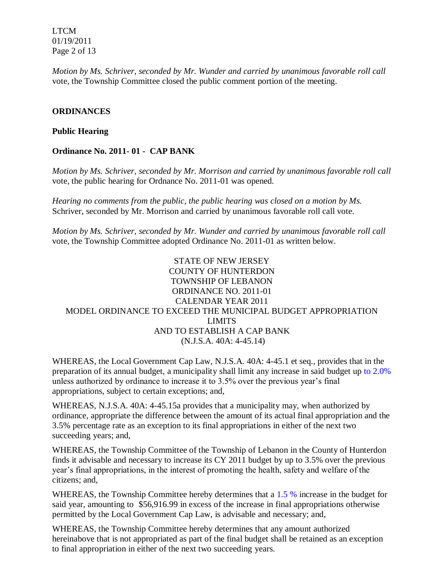LTCM 01/19/2011 Page 2 of 13

*Motion by Ms. Schriver, seconded by Mr. Wunder and carried by unanimous favorable roll call*  vote, the Township Committee closed the public comment portion of the meeting.

## **ORDINANCES**

#### **Public Hearing**

#### **Ordinance No. 2011- 01 - CAP BANK**

*Motion by Ms. Schriver, seconded by Mr. Morrison and carried by unanimous favorable roll call* vote*,* the public hearing for Ordnance No. 2011-01 was opened.

*Hearing no comments from the public, the public hearing was closed on a motion by Ms.*  Schriver, seconded by Mr. Morrison and carried by unanimous favorable roll call vote.

*Motion by Ms. Schriver, seconded by Mr. Wunder and carried by unanimous favorable roll call*  vote, the Township Committee adopted Ordinance No. 2011-01 as written below.

# STATE OF NEW JERSEY COUNTY OF HUNTERDON TOWNSHIP OF LEBANON ORDINANCE NO. 2011-01 CALENDAR YEAR 2011 MODEL ORDINANCE TO EXCEED THE MUNICIPAL BUDGET APPROPRIATION LIMITS AND TO ESTABLISH A CAP BANK (N.J.S.A. 40A: 4-45.14)

WHEREAS, the Local Government Cap Law, N.J.S.A. 40A: 4-45.1 et seq., provides that in the preparation of its annual budget, a municipality shall limit any increase in said budget up to 2.0% unless authorized by ordinance to increase it to 3.5% over the previous year's final appropriations, subject to certain exceptions; and,

WHEREAS, N.J.S.A. 40A: 4-45.15a provides that a municipality may, when authorized by ordinance, appropriate the difference between the amount of its actual final appropriation and the 3.5% percentage rate as an exception to its final appropriations in either of the next two succeeding years; and,

WHEREAS, the Township Committee of the Township of Lebanon in the County of Hunterdon finds it advisable and necessary to increase its CY 2011 budget by up to 3.5% over the previous year's final appropriations, in the interest of promoting the health, safety and welfare of the citizens; and,

WHEREAS, the Township Committee hereby determines that a 1.5 % increase in the budget for said year, amounting to \$56,916.99 in excess of the increase in final appropriations otherwise permitted by the Local Government Cap Law, is advisable and necessary; and,

WHEREAS, the Township Committee hereby determines that any amount authorized hereinabove that is not appropriated as part of the final budget shall be retained as an exception to final appropriation in either of the next two succeeding years.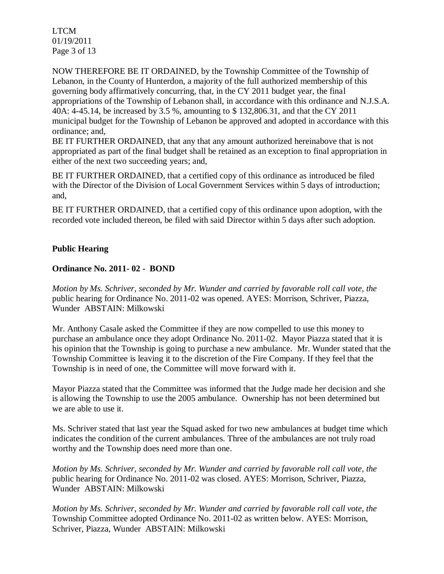LTCM 01/19/2011 Page 3 of 13

NOW THEREFORE BE IT ORDAINED, by the Township Committee of the Township of Lebanon, in the County of Hunterdon, a majority of the full authorized membership of this governing body affirmatively concurring, that, in the CY 2011 budget year, the final appropriations of the Township of Lebanon shall, in accordance with this ordinance and N.J.S.A. 40A: 4-45.14, be increased by 3.5 %, amounting to \$ 132,806.31, and that the CY 2011 municipal budget for the Township of Lebanon be approved and adopted in accordance with this ordinance; and,

BE IT FURTHER ORDAINED, that any that any amount authorized hereinabove that is not appropriated as part of the final budget shall be retained as an exception to final appropriation in either of the next two succeeding years; and,

BE IT FURTHER ORDAINED, that a certified copy of this ordinance as introduced be filed with the Director of the Division of Local Government Services within 5 days of introduction; and,

BE IT FURTHER ORDAINED, that a certified copy of this ordinance upon adoption, with the recorded vote included thereon, be filed with said Director within 5 days after such adoption.

# **Public Hearing**

# **Ordinance No. 2011- 02 - BOND**

*Motion by Ms. Schriver, seconded by Mr. Wunder and carried by favorable roll call vote, the* public hearing for Ordinance No. 2011-02 was opened. AYES: Morrison, Schriver, Piazza, Wunder ABSTAIN: Milkowski

Mr. Anthony Casale asked the Committee if they are now compelled to use this money to purchase an ambulance once they adopt Ordinance No. 2011-02. Mayor Piazza stated that it is his opinion that the Township is going to purchase a new ambulance. Mr. Wunder stated that the Township Committee is leaving it to the discretion of the Fire Company. If they feel that the Township is in need of one, the Committee will move forward with it.

Mayor Piazza stated that the Committee was informed that the Judge made her decision and she is allowing the Township to use the 2005 ambulance. Ownership has not been determined but we are able to use it.

Ms. Schriver stated that last year the Squad asked for two new ambulances at budget time which indicates the condition of the current ambulances. Three of the ambulances are not truly road worthy and the Township does need more than one.

*Motion by Ms. Schriver, seconded by Mr. Wunder and carried by favorable roll call vote, the*  public hearing for Ordinance No. 2011-02 was closed. AYES: Morrison, Schriver, Piazza, Wunder ABSTAIN: Milkowski

*Motion by Ms. Schriver, seconded by Mr. Wunder and carried by favorable roll call vote, the* Township Committee adopted Ordinance No. 2011-02 as written below. AYES: Morrison, Schriver, Piazza, Wunder ABSTAIN: Milkowski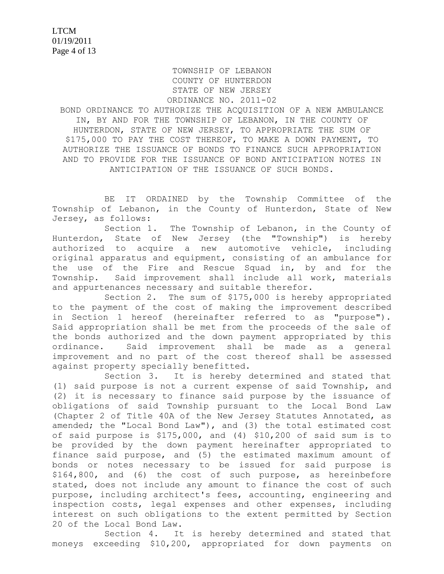#### TOWNSHIP OF LEBANON COUNTY OF HUNTERDON STATE OF NEW JERSEY ORDINANCE NO. 2011-02

BOND ORDINANCE TO AUTHORIZE THE ACQUISITION OF A NEW AMBULANCE IN, BY AND FOR THE TOWNSHIP OF LEBANON, IN THE COUNTY OF HUNTERDON, STATE OF NEW JERSEY, TO APPROPRIATE THE SUM OF \$175,000 TO PAY THE COST THEREOF, TO MAKE A DOWN PAYMENT, TO AUTHORIZE THE ISSUANCE OF BONDS TO FINANCE SUCH APPROPRIATION AND TO PROVIDE FOR THE ISSUANCE OF BOND ANTICIPATION NOTES IN ANTICIPATION OF THE ISSUANCE OF SUCH BONDS.

BE IT ORDAINED by the Township Committee of the Township of Lebanon, in the County of Hunterdon, State of New Jersey, as follows:

Section 1. The Township of Lebanon, in the County of Hunterdon, State of New Jersey (the "Township") is hereby authorized to acquire a new automotive vehicle, including original apparatus and equipment, consisting of an ambulance for the use of the Fire and Rescue Squad in, by and for the Township. Said improvement shall include all work, materials and appurtenances necessary and suitable therefor.

Section 2. The sum of \$175,000 is hereby appropriated to the payment of the cost of making the improvement described in Section 1 hereof (hereinafter referred to as "purpose"). Said appropriation shall be met from the proceeds of the sale of the bonds authorized and the down payment appropriated by this ordinance. Said improvement shall be made as a general improvement and no part of the cost thereof shall be assessed against property specially benefitted.

Section 3. It is hereby determined and stated that (1) said purpose is not a current expense of said Township, and (2) it is necessary to finance said purpose by the issuance of obligations of said Township pursuant to the Local Bond Law (Chapter 2 of Title 40A of the New Jersey Statutes Annotated, as amended; the "Local Bond Law"), and (3) the total estimated cost of said purpose is \$175,000, and (4) \$10,200 of said sum is to be provided by the down payment hereinafter appropriated to finance said purpose, and (5) the estimated maximum amount of bonds or notes necessary to be issued for said purpose is \$164,800, and (6) the cost of such purpose, as hereinbefore stated, does not include any amount to finance the cost of such purpose, including architect's fees, accounting, engineering and inspection costs, legal expenses and other expenses, including interest on such obligations to the extent permitted by Section 20 of the Local Bond Law.

Section 4. It is hereby determined and stated that moneys exceeding \$10,200, appropriated for down payments on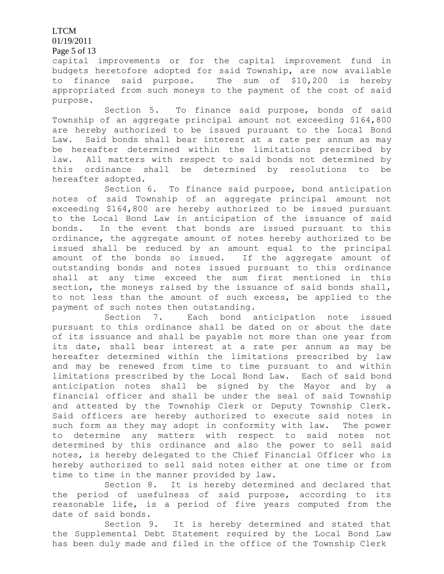LTCM

01/19/2011

Page 5 of 13

capital improvements or for the capital improvement fund in budgets heretofore adopted for said Township, are now available to finance said purpose. The sum of \$10,200 is hereby appropriated from such moneys to the payment of the cost of said purpose.

Section 5. To finance said purpose, bonds of said Township of an aggregate principal amount not exceeding \$164,800 are hereby authorized to be issued pursuant to the Local Bond Law. Said bonds shall bear interest at a rate per annum as may be hereafter determined within the limitations prescribed by law. All matters with respect to said bonds not determined by this ordinance shall be determined by resolutions to be hereafter adopted.

Section 6. To finance said purpose, bond anticipation notes of said Township of an aggregate principal amount not exceeding \$164,800 are hereby authorized to be issued pursuant to the Local Bond Law in anticipation of the issuance of said bonds. In the event that bonds are issued pursuant to this ordinance, the aggregate amount of notes hereby authorized to be issued shall be reduced by an amount equal to the principal amount of the bonds so issued. If the aggregate amount of outstanding bonds and notes issued pursuant to this ordinance shall at any time exceed the sum first mentioned in this section, the moneys raised by the issuance of said bonds shall, to not less than the amount of such excess, be applied to the payment of such notes then outstanding.

Section 7. Each bond anticipation note issued pursuant to this ordinance shall be dated on or about the date of its issuance and shall be payable not more than one year from its date, shall bear interest at a rate per annum as may be hereafter determined within the limitations prescribed by law and may be renewed from time to time pursuant to and within limitations prescribed by the Local Bond Law. Each of said bond anticipation notes shall be signed by the Mayor and by a financial officer and shall be under the seal of said Township and attested by the Township Clerk or Deputy Township Clerk. Said officers are hereby authorized to execute said notes in such form as they may adopt in conformity with law. The power to determine any matters with respect to said notes not determined by this ordinance and also the power to sell said notes, is hereby delegated to the Chief Financial Officer who is hereby authorized to sell said notes either at one time or from time to time in the manner provided by law.

Section 8. It is hereby determined and declared that the period of usefulness of said purpose, according to its reasonable life, is a period of five years computed from the date of said bonds.

Section 9. It is hereby determined and stated that the Supplemental Debt Statement required by the Local Bond Law has been duly made and filed in the office of the Township Clerk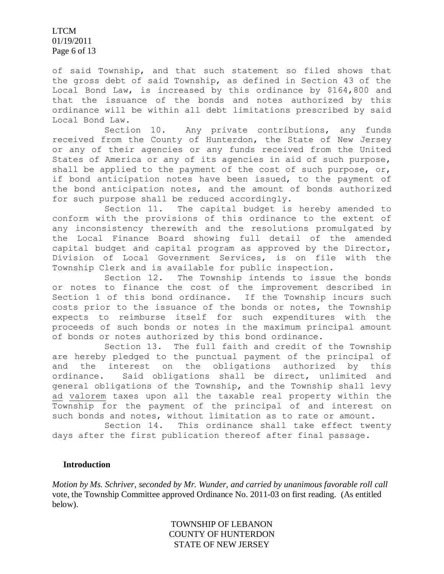LTCM 01/19/2011 Page 6 of 13

of said Township, and that such statement so filed shows that the gross debt of said Township, as defined in Section 43 of the Local Bond Law, is increased by this ordinance by \$164,800 and that the issuance of the bonds and notes authorized by this ordinance will be within all debt limitations prescribed by said Local Bond Law.

Section 10. Any private contributions, any funds received from the County of Hunterdon, the State of New Jersey or any of their agencies or any funds received from the United States of America or any of its agencies in aid of such purpose, shall be applied to the payment of the cost of such purpose, or, if bond anticipation notes have been issued, to the payment of the bond anticipation notes, and the amount of bonds authorized for such purpose shall be reduced accordingly.

Section 11. The capital budget is hereby amended to conform with the provisions of this ordinance to the extent of any inconsistency therewith and the resolutions promulgated by the Local Finance Board showing full detail of the amended capital budget and capital program as approved by the Director, Division of Local Government Services, is on file with the Township Clerk and is available for public inspection.

Section 12. The Township intends to issue the bonds or notes to finance the cost of the improvement described in Section 1 of this bond ordinance. If the Township incurs such costs prior to the issuance of the bonds or notes, the Township expects to reimburse itself for such expenditures with the proceeds of such bonds or notes in the maximum principal amount of bonds or notes authorized by this bond ordinance.

Section 13. The full faith and credit of the Township are hereby pledged to the punctual payment of the principal of and the interest on the obligations authorized by this ordinance. Said obligations shall be direct, unlimited and general obligations of the Township, and the Township shall levy ad valorem taxes upon all the taxable real property within the Township for the payment of the principal of and interest on such bonds and notes, without limitation as to rate or amount.

Section 14. This ordinance shall take effect twenty days after the first publication thereof after final passage.

#### **Introduction**

*Motion by Ms. Schriver, seconded by Mr. Wunder, and carried by unanimous favorable roll call*  vote, the Township Committee approved Ordinance No. 2011-03 on first reading. (As entitled below).

> TOWNSHIP OF LEBANON COUNTY OF HUNTERDON STATE OF NEW JERSEY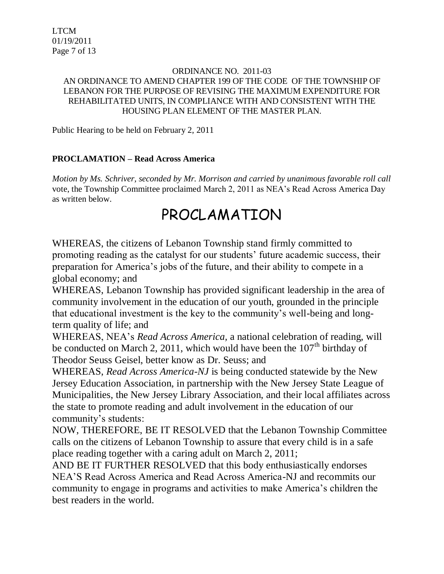# ORDINANCE NO. 2011-03 AN ORDINANCE TO AMEND CHAPTER 199 OF THE CODE OF THE TOWNSHIP OF LEBANON FOR THE PURPOSE OF REVISING THE MAXIMUM EXPENDITURE FOR REHABILITATED UNITS, IN COMPLIANCE WITH AND CONSISTENT WITH THE HOUSING PLAN ELEMENT OF THE MASTER PLAN.

Public Hearing to be held on February 2, 2011

# **PROCLAMATION – Read Across America**

*Motion by Ms. Schriver, seconded by Mr. Morrison and carried by unanimous favorable roll call*  vote, the Township Committee proclaimed March 2, 2011 as NEA's Read Across America Day as written below.

# PROCLAMATION

WHEREAS, the citizens of Lebanon Township stand firmly committed to promoting reading as the catalyst for our students' future academic success, their preparation for America's jobs of the future, and their ability to compete in a global economy; and

WHEREAS, Lebanon Township has provided significant leadership in the area of community involvement in the education of our youth, grounded in the principle that educational investment is the key to the community's well-being and longterm quality of life; and

WHEREAS, NEA's *Read Across America,* a national celebration of reading, will be conducted on March 2, 2011, which would have been the  $107<sup>th</sup>$  birthday of Theodor Seuss Geisel, better know as Dr. Seuss; and

WHEREAS, *Read Across America-NJ* is being conducted statewide by the New Jersey Education Association, in partnership with the New Jersey State League of Municipalities, the New Jersey Library Association, and their local affiliates across the state to promote reading and adult involvement in the education of our community's students:

NOW, THEREFORE, BE IT RESOLVED that the Lebanon Township Committee calls on the citizens of Lebanon Township to assure that every child is in a safe place reading together with a caring adult on March 2, 2011;

AND BE IT FURTHER RESOLVED that this body enthusiastically endorses NEA'S Read Across America and Read Across America-NJ and recommits our community to engage in programs and activities to make America's children the best readers in the world.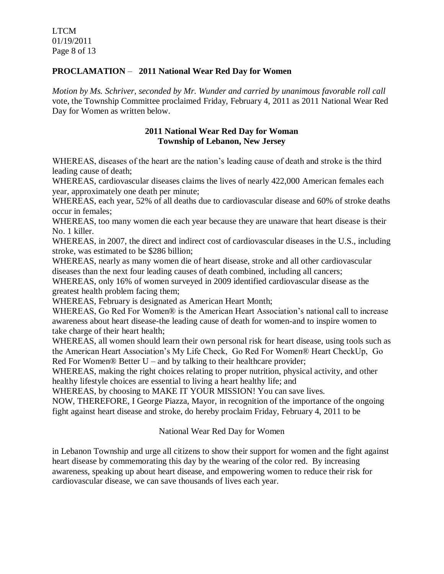# **PROCLAMATION** – **2011 National Wear Red Day for Women**

*Motion by Ms. Schriver, seconded by Mr. Wunder and carried by unanimous favorable roll call* vote, the Township Committee proclaimed Friday, February 4, 2011 as 2011 National Wear Red Day for Women as written below.

## **2011 National Wear Red Day for Woman Township of Lebanon, New Jersey**

WHEREAS, diseases of the heart are the nation's leading cause of death and stroke is the third leading cause of death;

WHEREAS, cardiovascular diseases claims the lives of nearly 422,000 American females each year, approximately one death per minute;

WHEREAS, each year, 52% of all deaths due to cardiovascular disease and 60% of stroke deaths occur in females;

WHEREAS, too many women die each year because they are unaware that heart disease is their No. 1 killer.

WHEREAS, in 2007, the direct and indirect cost of cardiovascular diseases in the U.S., including stroke, was estimated to be \$286 billion;

WHEREAS, nearly as many women die of heart disease, stroke and all other cardiovascular diseases than the next four leading causes of death combined, including all cancers;

WHEREAS, only 16% of women surveyed in 2009 identified cardiovascular disease as the greatest health problem facing them;

WHEREAS, February is designated as American Heart Month;

WHEREAS, Go Red For Women® is the American Heart Association's national call to increase awareness about heart disease-the leading cause of death for women-and to inspire women to take charge of their heart health;

WHEREAS, all women should learn their own personal risk for heart disease, using tools such as the American Heart Association's My Life Check, Go Red For Women® Heart CheckUp, Go Red For Women® Better  $U$  – and by talking to their healthcare provider;

WHEREAS, making the right choices relating to proper nutrition, physical activity, and other healthy lifestyle choices are essential to living a heart healthy life; and

WHEREAS, by choosing to MAKE IT YOUR MISSION! You can save lives.

NOW, THEREFORE, I George Piazza, Mayor, in recognition of the importance of the ongoing fight against heart disease and stroke, do hereby proclaim Friday, February 4, 2011 to be

National Wear Red Day for Women

in Lebanon Township and urge all citizens to show their support for women and the fight against heart disease by commemorating this day by the wearing of the color red. By increasing awareness, speaking up about heart disease, and empowering women to reduce their risk for cardiovascular disease, we can save thousands of lives each year.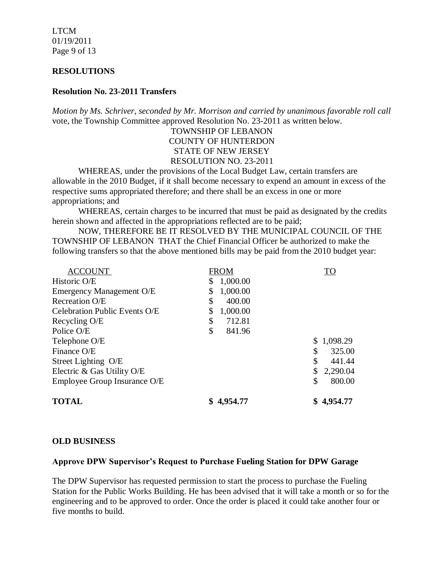LTCM 01/19/2011 Page 9 of 13

#### **RESOLUTIONS**

#### **Resolution No. 23-2011 Transfers**

*Motion by Ms. Schriver, seconded by Mr. Morrison and carried by unanimous favorable roll call* vote, the Township Committee approved Resolution No. 23-2011 as written below.

> TOWNSHIP OF LEBANON COUNTY OF HUNTERDON STATE OF NEW JERSEY RESOLUTION NO. 23-2011

WHEREAS, under the provisions of the Local Budget Law, certain transfers are allowable in the 2010 Budget, if it shall become necessary to expend an amount in excess of the respective sums appropriated therefore; and there shall be an excess in one or more appropriations; and

 WHEREAS, certain charges to be incurred that must be paid as designated by the credits herein shown and affected in the appropriations reflected are to be paid;

 NOW, THEREFORE BE IT RESOLVED BY THE MUNICIPAL COUNCIL OF THE TOWNSHIP OF LEBANON THAT the Chief Financial Officer be authorized to make the following transfers so that the above mentioned bills may be paid from the 2010 budget year:

| <b>TOTAL</b>                         | 4,954.77       | \$4,954.77   |
|--------------------------------------|----------------|--------------|
| Employee Group Insurance O/E         |                | 800.00<br>\$ |
| Electric & Gas Utility O/E           |                | 2,290.04     |
| Street Lighting O/E                  |                | \$<br>441.44 |
| Finance O/E                          |                | 325.00<br>\$ |
| Telephone O/E                        |                | \$1,098.29   |
| Police O/E                           | \$<br>841.96   |              |
| Recycling O/E                        | \$<br>712.81   |              |
| <b>Celebration Public Events O/E</b> | 1,000.00<br>\$ |              |
| Recreation O/E                       | 400.00<br>\$   |              |
| <b>Emergency Management O/E</b>      | 1,000.00<br>\$ |              |
| Historic O/E                         | 1,000.00<br>\$ |              |
| <b>ACCOUNT</b>                       | <b>FROM</b>    | <b>TO</b>    |

#### **OLD BUSINESS**

#### **Approve DPW Supervisor's Request to Purchase Fueling Station for DPW Garage**

The DPW Supervisor has requested permission to start the process to purchase the Fueling Station for the Public Works Building. He has been advised that it will take a month or so for the engineering and to be approved to order. Once the order is placed it could take another four or five months to build.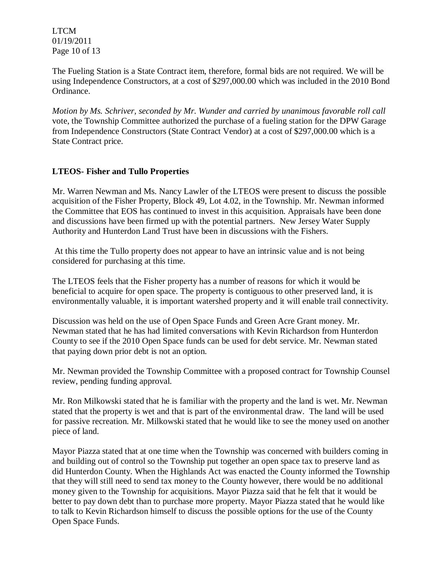LTCM 01/19/2011 Page 10 of 13

The Fueling Station is a State Contract item, therefore, formal bids are not required. We will be using Independence Constructors, at a cost of \$297,000.00 which was included in the 2010 Bond Ordinance.

*Motion by Ms. Schriver, seconded by Mr. Wunder and carried by unanimous favorable roll call*  vote, the Township Committee authorized the purchase of a fueling station for the DPW Garage from Independence Constructors (State Contract Vendor) at a cost of \$297,000.00 which is a State Contract price.

# **LTEOS- Fisher and Tullo Properties**

Mr. Warren Newman and Ms. Nancy Lawler of the LTEOS were present to discuss the possible acquisition of the Fisher Property, Block 49, Lot 4.02, in the Township. Mr. Newman informed the Committee that EOS has continued to invest in this acquisition. Appraisals have been done and discussions have been firmed up with the potential partners. New Jersey Water Supply Authority and Hunterdon Land Trust have been in discussions with the Fishers.

At this time the Tullo property does not appear to have an intrinsic value and is not being considered for purchasing at this time.

The LTEOS feels that the Fisher property has a number of reasons for which it would be beneficial to acquire for open space. The property is contiguous to other preserved land, it is environmentally valuable, it is important watershed property and it will enable trail connectivity.

Discussion was held on the use of Open Space Funds and Green Acre Grant money. Mr. Newman stated that he has had limited conversations with Kevin Richardson from Hunterdon County to see if the 2010 Open Space funds can be used for debt service. Mr. Newman stated that paying down prior debt is not an option.

Mr. Newman provided the Township Committee with a proposed contract for Township Counsel review, pending funding approval.

Mr. Ron Milkowski stated that he is familiar with the property and the land is wet. Mr. Newman stated that the property is wet and that is part of the environmental draw. The land will be used for passive recreation. Mr. Milkowski stated that he would like to see the money used on another piece of land.

Mayor Piazza stated that at one time when the Township was concerned with builders coming in and building out of control so the Township put together an open space tax to preserve land as did Hunterdon County. When the Highlands Act was enacted the County informed the Township that they will still need to send tax money to the County however, there would be no additional money given to the Township for acquisitions. Mayor Piazza said that he felt that it would be better to pay down debt than to purchase more property. Mayor Piazza stated that he would like to talk to Kevin Richardson himself to discuss the possible options for the use of the County Open Space Funds.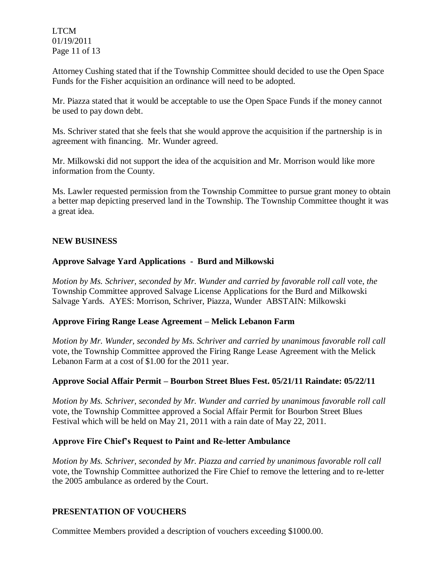LTCM 01/19/2011 Page 11 of 13

Attorney Cushing stated that if the Township Committee should decided to use the Open Space Funds for the Fisher acquisition an ordinance will need to be adopted.

Mr. Piazza stated that it would be acceptable to use the Open Space Funds if the money cannot be used to pay down debt.

Ms. Schriver stated that she feels that she would approve the acquisition if the partnership is in agreement with financing. Mr. Wunder agreed.

Mr. Milkowski did not support the idea of the acquisition and Mr. Morrison would like more information from the County.

Ms. Lawler requested permission from the Township Committee to pursue grant money to obtain a better map depicting preserved land in the Township. The Township Committee thought it was a great idea.

# **NEW BUSINESS**

# **Approve Salvage Yard Applications - Burd and Milkowski**

*Motion by Ms. Schriver, seconded by Mr. Wunder and carried by favorable roll call vote, the* Township Committee approved Salvage License Applications for the Burd and Milkowski Salvage Yards. AYES: Morrison, Schriver, Piazza, Wunder ABSTAIN: Milkowski

#### **Approve Firing Range Lease Agreement – Melick Lebanon Farm**

*Motion by Mr. Wunder, seconded by Ms. Schriver and carried by unanimous favorable roll call*  vote, the Township Committee approved the Firing Range Lease Agreement with the Melick Lebanon Farm at a cost of \$1.00 for the 2011 year.

#### **Approve Social Affair Permit – Bourbon Street Blues Fest. 05/21/11 Raindate: 05/22/11**

*Motion by Ms. Schriver, seconded by Mr. Wunder and carried by unanimous favorable roll call*  vote, the Township Committee approved a Social Affair Permit for Bourbon Street Blues Festival which will be held on May 21, 2011 with a rain date of May 22, 2011.

#### **Approve Fire Chief's Request to Paint and Re-letter Ambulance**

*Motion by Ms. Schriver, seconded by Mr. Piazza and carried by unanimous favorable roll call*  vote, the Township Committee authorized the Fire Chief to remove the lettering and to re-letter the 2005 ambulance as ordered by the Court.

#### **PRESENTATION OF VOUCHERS**

Committee Members provided a description of vouchers exceeding \$1000.00.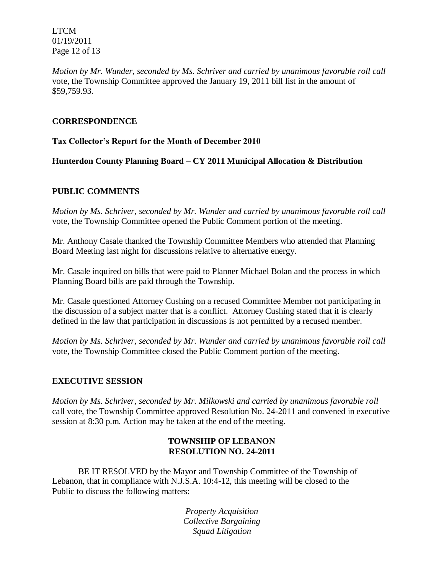LTCM 01/19/2011 Page 12 of 13

*Motion by Mr. Wunder, seconded by Ms. Schriver and carried by unanimous favorable roll call*  vote, the Township Committee approved the January 19, 2011 bill list in the amount of \$59,759.93.

# **CORRESPONDENCE**

# **Tax Collector's Report for the Month of December 2010**

**Hunterdon County Planning Board – CY 2011 Municipal Allocation & Distribution**

# **PUBLIC COMMENTS**

*Motion by Ms. Schriver, seconded by Mr. Wunder and carried by unanimous favorable roll call*  vote, the Township Committee opened the Public Comment portion of the meeting.

Mr. Anthony Casale thanked the Township Committee Members who attended that Planning Board Meeting last night for discussions relative to alternative energy.

Mr. Casale inquired on bills that were paid to Planner Michael Bolan and the process in which Planning Board bills are paid through the Township.

Mr. Casale questioned Attorney Cushing on a recused Committee Member not participating in the discussion of a subject matter that is a conflict. Attorney Cushing stated that it is clearly defined in the law that participation in discussions is not permitted by a recused member.

*Motion by Ms. Schriver, seconded by Mr. Wunder and carried by unanimous favorable roll call*  vote, the Township Committee closed the Public Comment portion of the meeting.

#### **EXECUTIVE SESSION**

*Motion by Ms. Schriver, seconded by Mr. Milkowski and carried by unanimous favorable roll*  call vote, the Township Committee approved Resolution No. 24-2011 and convened in executive session at 8:30 p.m. Action may be taken at the end of the meeting.

# **TOWNSHIP OF LEBANON RESOLUTION NO. 24-2011**

BE IT RESOLVED by the Mayor and Township Committee of the Township of Lebanon, that in compliance with N.J.S.A. 10:4-12, this meeting will be closed to the Public to discuss the following matters:

> *Property Acquisition Collective Bargaining Squad Litigation*